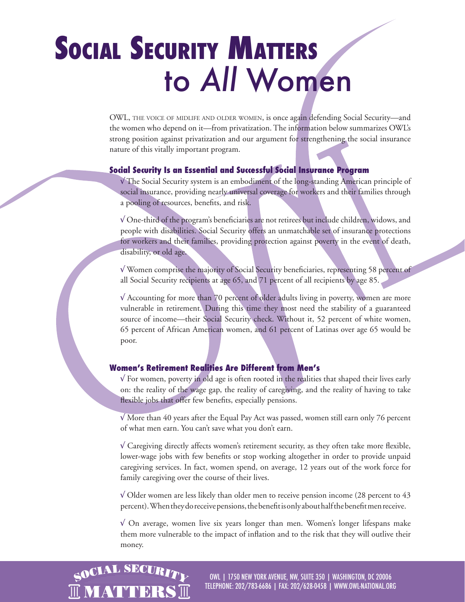# **SOCIAL SECURITY MATTERS** to *All* Women

OWL, THE VOICE OF MIDLIFE AND OLDER WOMEN, is once again defending Social Security—and the women who depend on it—from privatization. The information below summarizes OWL's strong position against privatization and our argument for strengthening the social insurance nature of this vitally important program.

#### **Social Security Is an Essential and Successful Social Insurance Program**

√ The Social Security system is an embodiment of the long-standing American principle of social insurance, providing nearly universal coverage for workers and their families through a pooling of resources, benefits, and risk.

√ One-third of the program's beneficiaries are not retirees but include children, widows, and people with disabilities. Social Security offers an unmatchable set of insurance protections for workers and their families, providing protection against poverty in the event of death, disability, or old age.

√ Women comprise the majority of Social Security beneficiaries, representing 58 percent of all Social Security recipients at age 65, and 71 percent of all recipients by age 85.

√ Accounting for more than 70 percent of older adults living in poverty, women are more vulnerable in retirement. During this time they most need the stability of a guaranteed source of income—their Social Security check. Without it, 52 percent of white women, 65 percent of African American women, and 61 percent of Latinas over age 65 would be poor.

### **Women's Retirement Realities Are Different from Men's**

 $\sqrt{2}$  For women, poverty in old age is often rooted in the realities that shaped their lives early on: the reality of the wage gap, the reality of caregiving, and the reality of having to take flexible jobs that offer few benefits, especially pensions.

 $\sqrt{M}$  More than 40 years after the Equal Pay Act was passed, women still earn only 76 percent of what men earn. You can't save what you don't earn.

√ Caregiving directly affects women's retirement security, as they often take more flexible, lower-wage jobs with few benefits or stop working altogether in order to provide unpaid caregiving services. In fact, women spend, on average, 12 years out of the work force for family caregiving over the course of their lives.

 $\sqrt{ }$  Older women are less likely than older men to receive pension income (28 percent to 43 percent). When they do receive pensions, the benefit is only about half the benefit men receive.

√ On average, women live six years longer than men. Women's longer lifespans make them more vulnerable to the impact of inflation and to the risk that they will outlive their money.



OWL | 1750 NEW YORK AVENUE, NW, SUITE 350 | WASHINGTON, DC 20006 TELEPHONE: 202/783-6686 | FAX: 202/628-0458 | WWW.OWL-NATIONAL.ORG